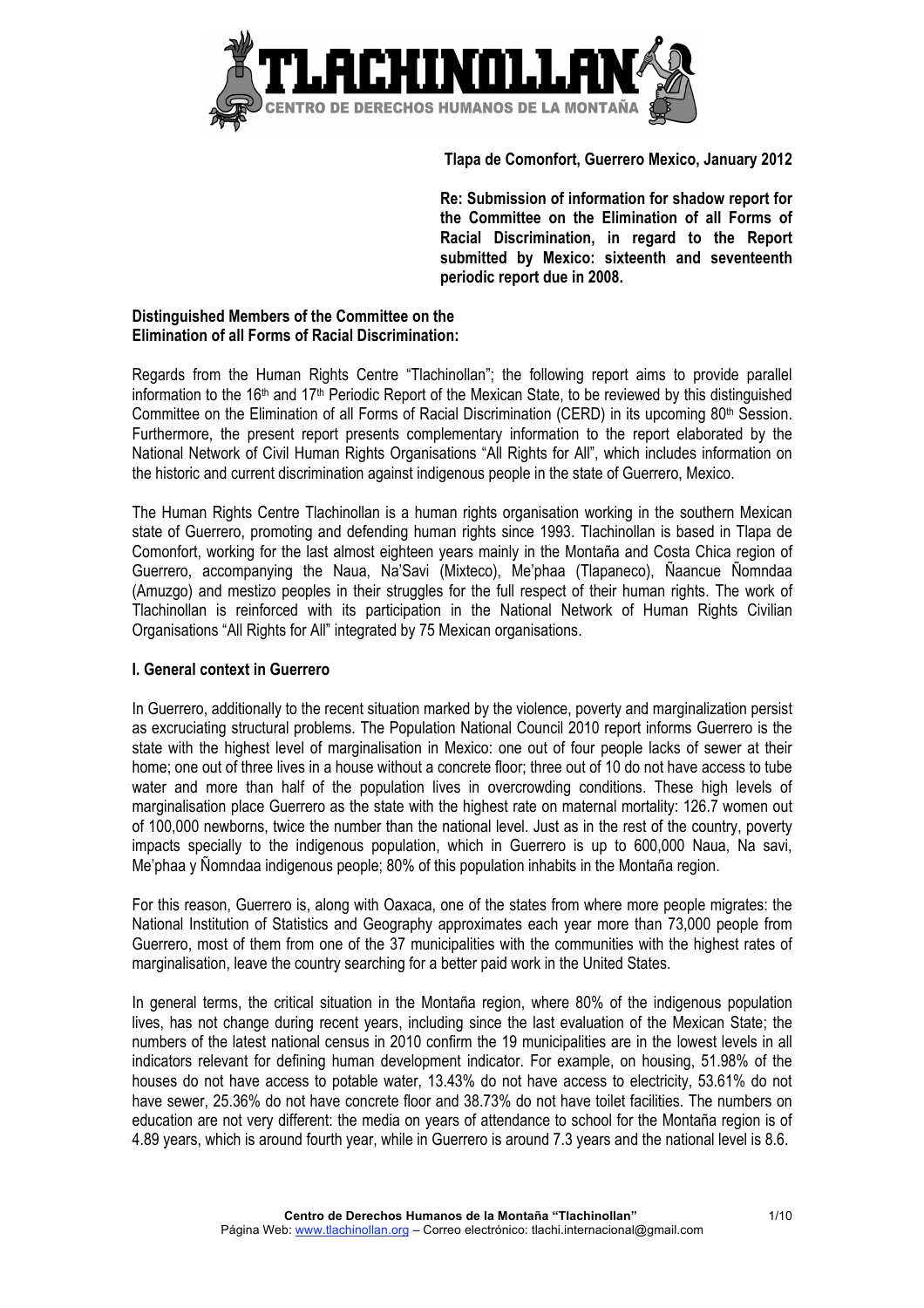

## **Tlapa de Comonfort, Guerrero Mexico, January 2012**

**Re: Submission of information for shadow report for the Committee on the Elimination of all Forms of Racial Discrimination, in regard to the Report submitted by Mexico: sixteenth and seventeenth periodic report due in 2008.**

#### **Distinguished Members of the Committee on the Elimination of all Forms of Racial Discrimination:**

Regards from the Human Rights Centre "Tlachinollan"; the following report aims to provide parallel information to the 16<sup>th</sup> and 17<sup>th</sup> Periodic Report of the Mexican State, to be reviewed by this distinguished Committee on the Elimination of all Forms of Racial Discrimination (CERD) in its upcoming  $80<sup>th</sup>$  Session. Furthermore, the present report presents complementary information to the report elaborated by the National Network of Civil Human Rights Organisations "All Rights for All", which includes information on the historic and current discrimination against indigenous people in the state of Guerrero, Mexico.

The Human Rights Centre Tlachinollan is a human rights organisation working in the southern Mexican state of Guerrero, promoting and defending human rights since 1993. Tlachinollan is based in Tlapa de Comonfort, working for the last almost eighteen years mainly in the Montaña and Costa Chica region of Guerrero, accompanying the Naua, Na'Savi (Mixteco), Me'phaa (Tlapaneco), Ñaancue Ñomndaa (Amuzgo) and mestizo peoples in their struggles for the full respect of their human rights. The work of Tlachinollan is reinforced with its participation in the National Network of Human Rights Civilian Organisations "All Rights for All" integrated by 75 Mexican organisations.

# **I. General context in Guerrero**

In Guerrero, additionally to the recent situation marked by the violence, poverty and marginalization persist as excruciating structural problems. The Population National Council 2010 report informs Guerrero is the state with the highest level of marginalisation in Mexico: one out of four people lacks of sewer at their home; one out of three lives in a house without a concrete floor; three out of 10 do not have access to tube water and more than half of the population lives in overcrowding conditions. These high levels of marginalisation place Guerrero as the state with the highest rate on maternal mortality: 126.7 women out of 100,000 newborns, twice the number than the national level. Just as in the rest of the country, poverty impacts specially to the indigenous population, which in Guerrero is up to 600,000 Naua, Na savi, Me'phaa y Ñomndaa indigenous people; 80% of this population inhabits in the Montaña region.

For this reason, Guerrero is, along with Oaxaca, one of the states from where more people migrates: the National Institution of Statistics and Geography approximates each year more than 73,000 people from Guerrero, most of them from one of the 37 municipalities with the communities with the highest rates of marginalisation, leave the country searching for a better paid work in the United States.

In general terms, the critical situation in the Montaña region, where 80% of the indigenous population lives, has not change during recent years, including since the last evaluation of the Mexican State; the numbers of the latest national census in 2010 confirm the 19 municipalities are in the lowest levels in all indicators relevant for defining human development indicator. For example, on housing, 51.98% of the houses do not have access to potable water, 13.43% do not have access to electricity, 53.61% do not have sewer, 25.36% do not have concrete floor and 38.73% do not have toilet facilities. The numbers on education are not very different: the media on years of attendance to school for the Montaña region is of 4.89 years, which is around fourth year, while in Guerrero is around 7.3 years and the national level is 8.6.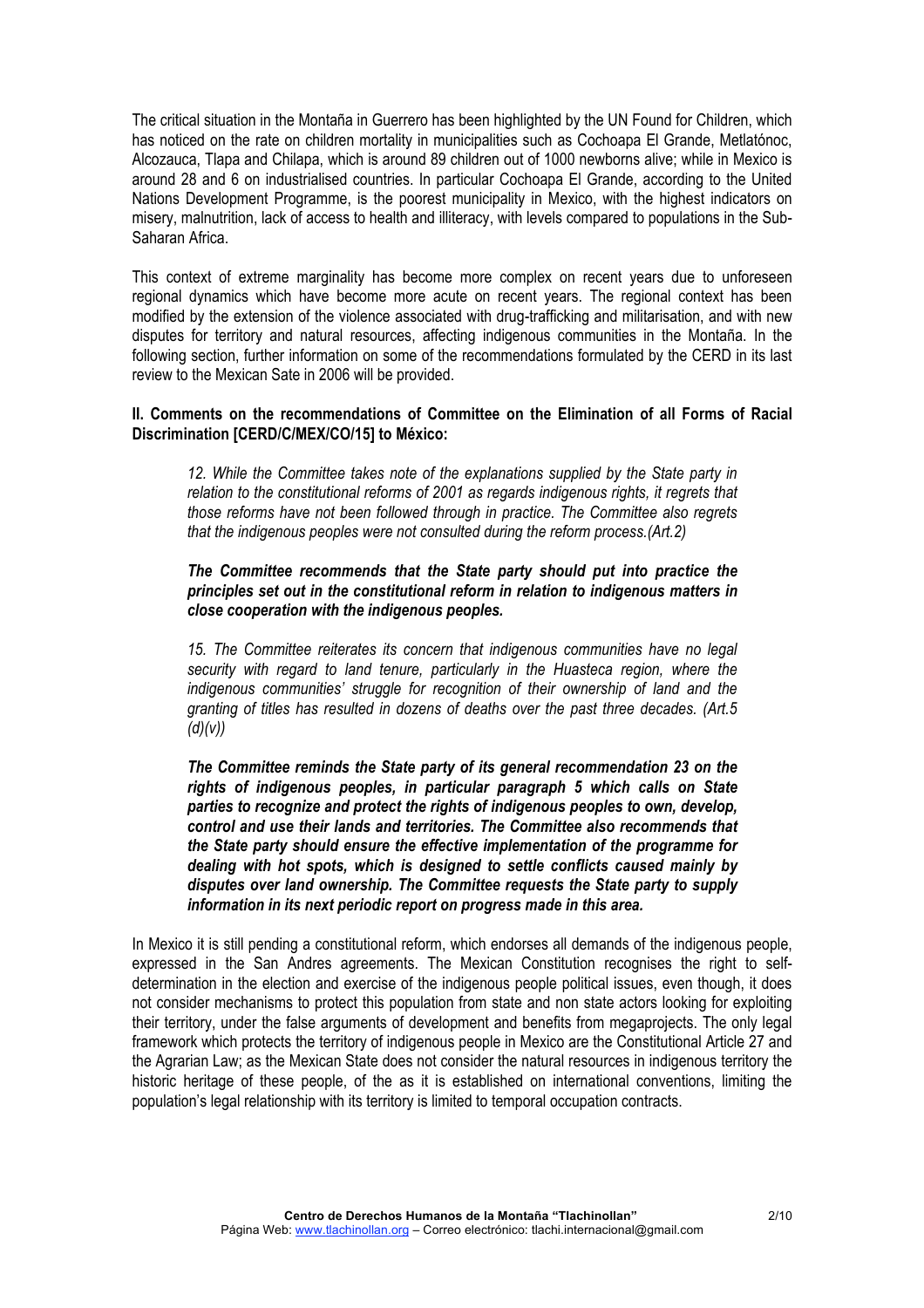The critical situation in the Montaña in Guerrero has been highlighted by the UN Found for Children, which has noticed on the rate on children mortality in municipalities such as Cochoapa El Grande, Metlatónoc, Alcozauca, Tlapa and Chilapa, which is around 89 children out of 1000 newborns alive; while in Mexico is around 28 and 6 on industrialised countries. In particular Cochoapa El Grande, according to the United Nations Development Programme, is the poorest municipality in Mexico, with the highest indicators on misery, malnutrition, lack of access to health and illiteracy, with levels compared to populations in the Sub-Saharan Africa.

This context of extreme marginality has become more complex on recent years due to unforeseen regional dynamics which have become more acute on recent years. The regional context has been modified by the extension of the violence associated with drug-trafficking and militarisation, and with new disputes for territory and natural resources, affecting indigenous communities in the Montaña. In the following section, further information on some of the recommendations formulated by the CERD in its last review to the Mexican Sate in 2006 will be provided.

## **II. Comments on the recommendations of Committee on the Elimination of all Forms of Racial Discrimination [CERD/C/MEX/CO/15] to México:**

*12. While the Committee takes note of the explanations supplied by the State party in relation to the constitutional reforms of 2001 as regards indigenous rights, it regrets that those reforms have not been followed through in practice. The Committee also regrets that the indigenous peoples were not consulted during the reform process.(Art.2)*

#### *The Committee recommends that the State party should put into practice the principles set out in the constitutional reform in relation to indigenous matters in close cooperation with the indigenous peoples.*

*15. The Committee reiterates its concern that indigenous communities have no legal security with regard to land tenure, particularly in the Huasteca region, where the indigenous communities' struggle for recognition of their ownership of land and the granting of titles has resulted in dozens of deaths over the past three decades. (Art.5 (d)(v))*

*The Committee reminds the State party of its general recommendation 23 on the rights of indigenous peoples, in particular paragraph 5 which calls on State parties to recognize and protect the rights of indigenous peoples to own, develop, control and use their lands and territories. The Committee also recommends that the State party should ensure the effective implementation of the programme for dealing with hot spots, which is designed to settle conflicts caused mainly by disputes over land ownership. The Committee requests the State party to supply information in its next periodic report on progress made in this area.*

In Mexico it is still pending a constitutional reform, which endorses all demands of the indigenous people, expressed in the San Andres agreements. The Mexican Constitution recognises the right to selfdetermination in the election and exercise of the indigenous people political issues, even though, it does not consider mechanisms to protect this population from state and non state actors looking for exploiting their territory, under the false arguments of development and benefits from megaprojects. The only legal framework which protects the territory of indigenous people in Mexico are the Constitutional Article 27 and the Agrarian Law; as the Mexican State does not consider the natural resources in indigenous territory the historic heritage of these people, of the as it is established on international conventions, limiting the population's legal relationship with its territory is limited to temporal occupation contracts.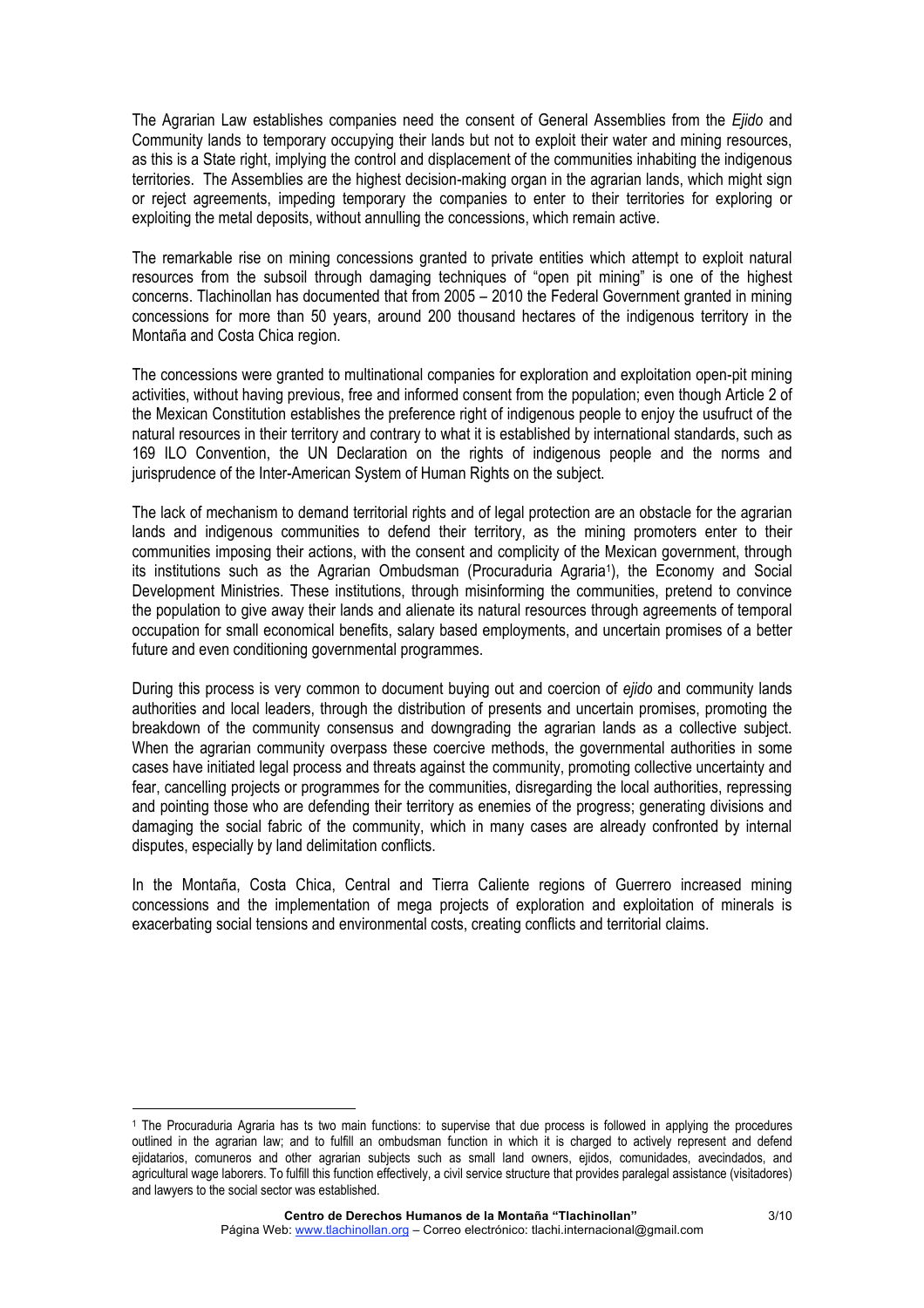The Agrarian Law establishes companies need the consent of General Assemblies from the *Ejido* and Community lands to temporary occupying their lands but not to exploit their water and mining resources, as this is a State right, implying the control and displacement of the communities inhabiting the indigenous territories. The Assemblies are the highest decision-making organ in the agrarian lands, which might sign or reject agreements, impeding temporary the companies to enter to their territories for exploring or exploiting the metal deposits, without annulling the concessions, which remain active.

The remarkable rise on mining concessions granted to private entities which attempt to exploit natural resources from the subsoil through damaging techniques of "open pit mining" is one of the highest concerns. Tlachinollan has documented that from 2005 – 2010 the Federal Government granted in mining concessions for more than 50 years, around 200 thousand hectares of the indigenous territory in the Montaña and Costa Chica region.

The concessions were granted to multinational companies for exploration and exploitation open-pit mining activities, without having previous, free and informed consent from the population; even though Article 2 of the Mexican Constitution establishes the preference right of indigenous people to enjoy the usufruct of the natural resources in their territory and contrary to what it is established by international standards, such as 169 ILO Convention, the UN Declaration on the rights of indigenous people and the norms and jurisprudence of the Inter-American System of Human Rights on the subject.

The lack of mechanism to demand territorial rights and of legal protection are an obstacle for the agrarian lands and indigenous communities to defend their territory, as the mining promoters enter to their communities imposing their actions, with the consent and complicity of the Mexican government, through its institutions such as the Agrarian Ombudsman (Procuraduria Agraria1), the Economy and Social Development Ministries. These institutions, through misinforming the communities, pretend to convince the population to give away their lands and alienate its natural resources through agreements of temporal occupation for small economical benefits, salary based employments, and uncertain promises of a better future and even conditioning governmental programmes.

During this process is very common to document buying out and coercion of *ejido* and community lands authorities and local leaders, through the distribution of presents and uncertain promises, promoting the breakdown of the community consensus and downgrading the agrarian lands as a collective subject. When the agrarian community overpass these coercive methods, the governmental authorities in some cases have initiated legal process and threats against the community, promoting collective uncertainty and fear, cancelling projects or programmes for the communities, disregarding the local authorities, repressing and pointing those who are defending their territory as enemies of the progress; generating divisions and damaging the social fabric of the community, which in many cases are already confronted by internal disputes, especially by land delimitation conflicts.

In the Montaña, Costa Chica, Central and Tierra Caliente regions of Guerrero increased mining concessions and the implementation of mega projects of exploration and exploitation of minerals is exacerbating social tensions and environmental costs, creating conflicts and territorial claims.

<sup>1</sup> The Procuraduria Agraria has ts two main functions: to supervise that due process is followed in applying the procedures outlined in the agrarian law; and to fulfill an ombudsman function in which it is charged to actively represent and defend ejidatarios, comuneros and other agrarian subjects such as small land owners, ejidos, comunidades, avecindados, and agricultural wage laborers. To fulfill this function effectively, a civil service structure that provides paralegal assistance (visitadores) and lawyers to the social sector was established.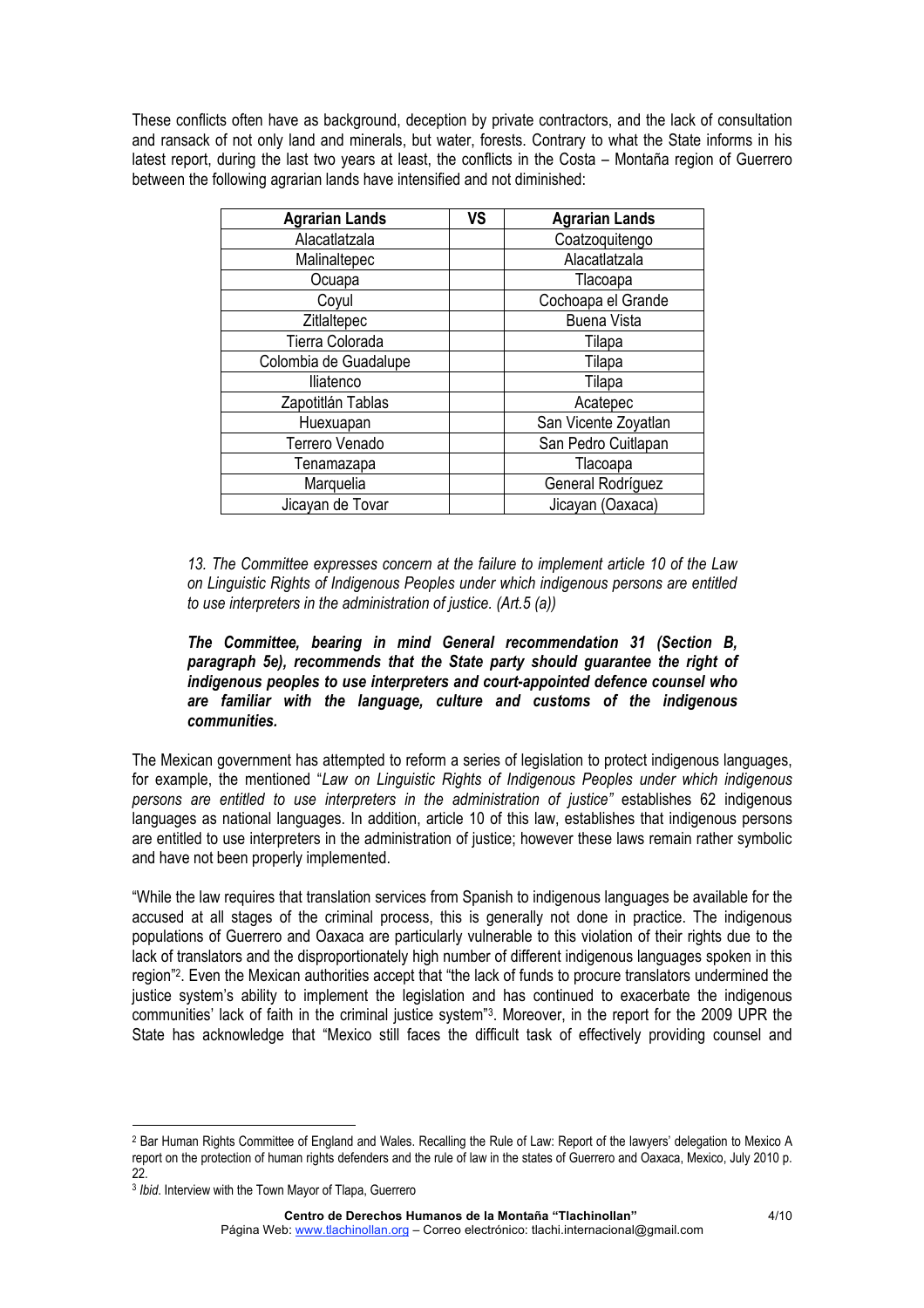These conflicts often have as background, deception by private contractors, and the lack of consultation and ransack of not only land and minerals, but water, forests. Contrary to what the State informs in his latest report, during the last two years at least, the conflicts in the Costa – Montaña region of Guerrero between the following agrarian lands have intensified and not diminished:

| <b>Agrarian Lands</b> | <b>VS</b> | <b>Agrarian Lands</b> |
|-----------------------|-----------|-----------------------|
| Alacatlatzala         |           | Coatzoquitengo        |
| Malinaltepec          |           | Alacatlatzala         |
| Ocuapa                |           | Tlacoapa              |
| Coyul                 |           | Cochoapa el Grande    |
| Zitlaltepec           |           | <b>Buena Vista</b>    |
| Tierra Colorada       |           | Tilapa                |
| Colombia de Guadalupe |           | Tilapa                |
| lliatenco             |           | Tilapa                |
| Zapotitlán Tablas     |           | Acatepec              |
| Huexuapan             |           | San Vicente Zoyatlan  |
| Terrero Venado        |           | San Pedro Cuitlapan   |
| Tenamazapa            |           | Tlacoapa              |
| Marquelia             |           | General Rodríguez     |
| Jicayan de Tovar      |           | Jicayan (Oaxaca)      |

*13. The Committee expresses concern at the failure to implement article 10 of the Law on Linguistic Rights of Indigenous Peoples under which indigenous persons are entitled to use interpreters in the administration of justice. (Art.5 (a))*

## *The Committee, bearing in mind General recommendation 31 (Section B, paragraph 5e), recommends that the State party should guarantee the right of indigenous peoples to use interpreters and court-appointed defence counsel who are familiar with the language, culture and customs of the indigenous communities.*

The Mexican government has attempted to reform a series of legislation to protect indigenous languages, for example, the mentioned "*Law on Linguistic Rights of Indigenous Peoples under which indigenous persons are entitled to use interpreters in the administration of justice"* establishes 62 indigenous languages as national languages. In addition, article 10 of this law, establishes that indigenous persons are entitled to use interpreters in the administration of justice; however these laws remain rather symbolic and have not been properly implemented.

"While the law requires that translation services from Spanish to indigenous languages be available for the accused at all stages of the criminal process, this is generally not done in practice. The indigenous populations of Guerrero and Oaxaca are particularly vulnerable to this violation of their rights due to the lack of translators and the disproportionately high number of different indigenous languages spoken in this region"2. Even the Mexican authorities accept that "the lack of funds to procure translators undermined the justice system's ability to implement the legislation and has continued to exacerbate the indigenous communities' lack of faith in the criminal justice system"3. Moreover, in the report for the 2009 UPR the State has acknowledge that "Mexico still faces the difficult task of effectively providing counsel and

<u> Andreas Andreas Andreas Andreas Andreas Andreas Andreas Andreas Andreas Andreas Andreas Andreas Andreas Andreas</u>

<sup>2</sup> Bar Human Rights Committee of England and Wales. Recalling the Rule of Law: Report of the lawyers' delegation to Mexico A report on the protection of human rights defenders and the rule of law in the states of Guerrero and Oaxaca, Mexico, July 2010 p. 22.

<sup>3</sup> *Ibid*. Interview with the Town Mayor of Tlapa, Guerrero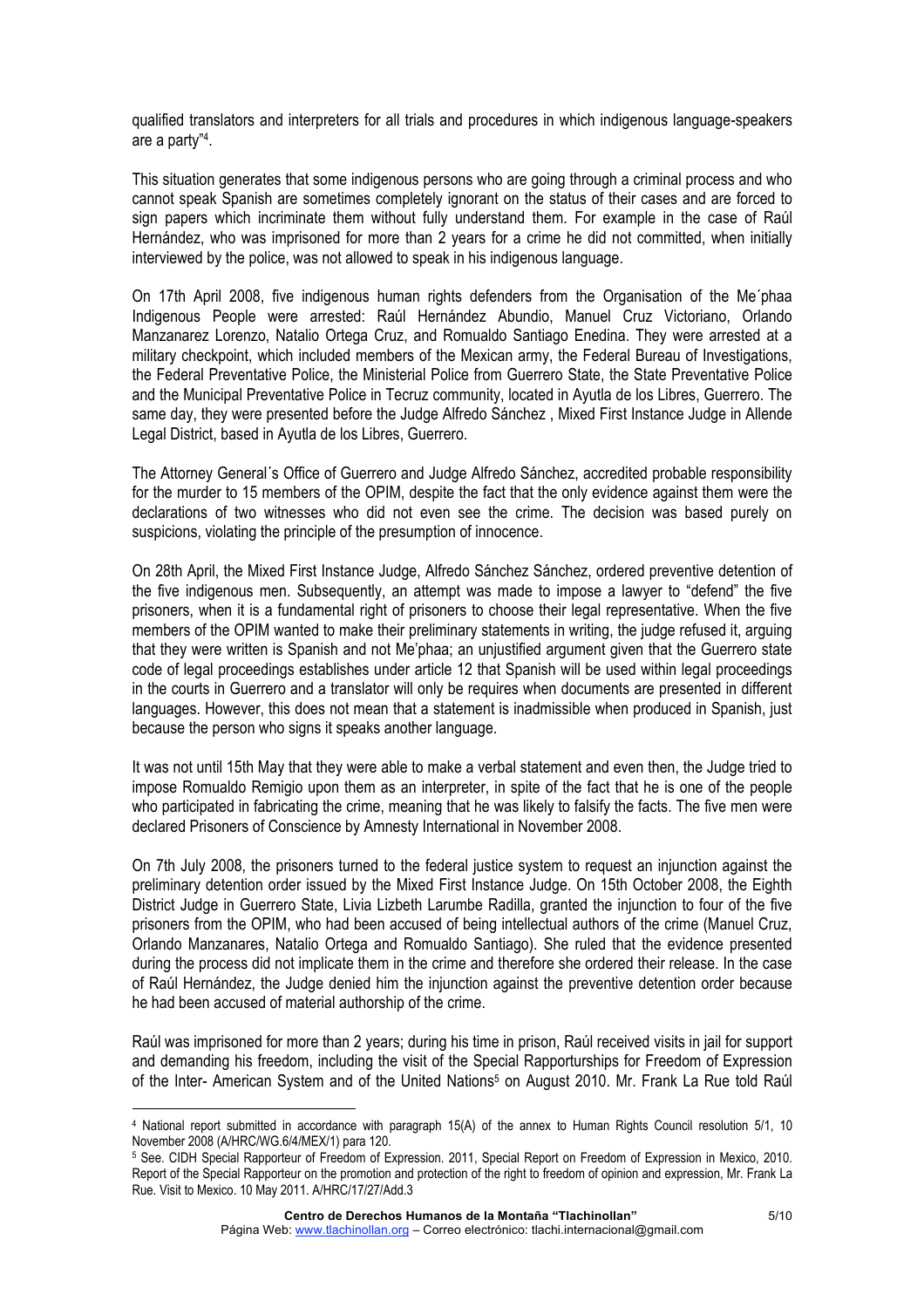qualified translators and interpreters for all trials and procedures in which indigenous language-speakers are a party" 4.

This situation generates that some indigenous persons who are going through a criminal process and who cannot speak Spanish are sometimes completely ignorant on the status of their cases and are forced to sign papers which incriminate them without fully understand them. For example in the case of Raúl Hernández, who was imprisoned for more than 2 years for a crime he did not committed, when initially interviewed by the police, was not allowed to speak in his indigenous language.

On 17th April 2008, five indigenous human rights defenders from the Organisation of the Me´phaa Indigenous People were arrested: Raúl Hernández Abundio, Manuel Cruz Victoriano, Orlando Manzanarez Lorenzo, Natalio Ortega Cruz, and Romualdo Santiago Enedina. They were arrested at a military checkpoint, which included members of the Mexican army, the Federal Bureau of Investigations, the Federal Preventative Police, the Ministerial Police from Guerrero State, the State Preventative Police and the Municipal Preventative Police in Tecruz community, located in Ayutla de los Libres, Guerrero. The same day, they were presented before the Judge Alfredo Sánchez , Mixed First Instance Judge in Allende Legal District, based in Ayutla de los Libres, Guerrero.

The Attorney General´s Office of Guerrero and Judge Alfredo Sánchez, accredited probable responsibility for the murder to 15 members of the OPIM, despite the fact that the only evidence against them were the declarations of two witnesses who did not even see the crime. The decision was based purely on suspicions, violating the principle of the presumption of innocence.

On 28th April, the Mixed First Instance Judge, Alfredo Sánchez Sánchez, ordered preventive detention of the five indigenous men. Subsequently, an attempt was made to impose a lawyer to "defend" the five prisoners, when it is a fundamental right of prisoners to choose their legal representative. When the five members of the OPIM wanted to make their preliminary statements in writing, the judge refused it, arguing that they were written is Spanish and not Me'phaa; an unjustified argument given that the Guerrero state code of legal proceedings establishes under article 12 that Spanish will be used within legal proceedings in the courts in Guerrero and a translator will only be requires when documents are presented in different languages. However, this does not mean that a statement is inadmissible when produced in Spanish, just because the person who signs it speaks another language.

It was not until 15th May that they were able to make a verbal statement and even then, the Judge tried to impose Romualdo Remigio upon them as an interpreter, in spite of the fact that he is one of the people who participated in fabricating the crime, meaning that he was likely to falsify the facts. The five men were declared Prisoners of Conscience by Amnesty International in November 2008.

On 7th July 2008, the prisoners turned to the federal justice system to request an injunction against the preliminary detention order issued by the Mixed First Instance Judge. On 15th October 2008, the Eighth District Judge in Guerrero State, Livia Lizbeth Larumbe Radilla, granted the injunction to four of the five prisoners from the OPIM, who had been accused of being intellectual authors of the crime (Manuel Cruz, Orlando Manzanares, Natalio Ortega and Romualdo Santiago). She ruled that the evidence presented during the process did not implicate them in the crime and therefore she ordered their release. In the case of Raúl Hernández, the Judge denied him the injunction against the preventive detention order because he had been accused of material authorship of the crime.

Raúl was imprisoned for more than 2 years; during his time in prison, Raúl received visits in jail for support and demanding his freedom, including the visit of the Special Rapporturships for Freedom of Expression of the Inter- American System and of the United Nations<sup>5</sup> on August 2010. Mr. Frank La Rue told Raúl

<sup>4</sup> National report submitted in accordance with paragraph 15(A) of the annex to Human Rights Council resolution 5/1, 10 November 2008 (A/HRC/WG.6/4/MEX/1) para 120.

<sup>5</sup> See. CIDH Special Rapporteur of Freedom of Expression. 2011, Special Report on Freedom of Expression in Mexico, 2010. Report of the Special Rapporteur on the promotion and protection of the right to freedom of opinion and expression, Mr. Frank La Rue. Visit to Mexico. 10 May 2011. A/HRC/17/27/Add.3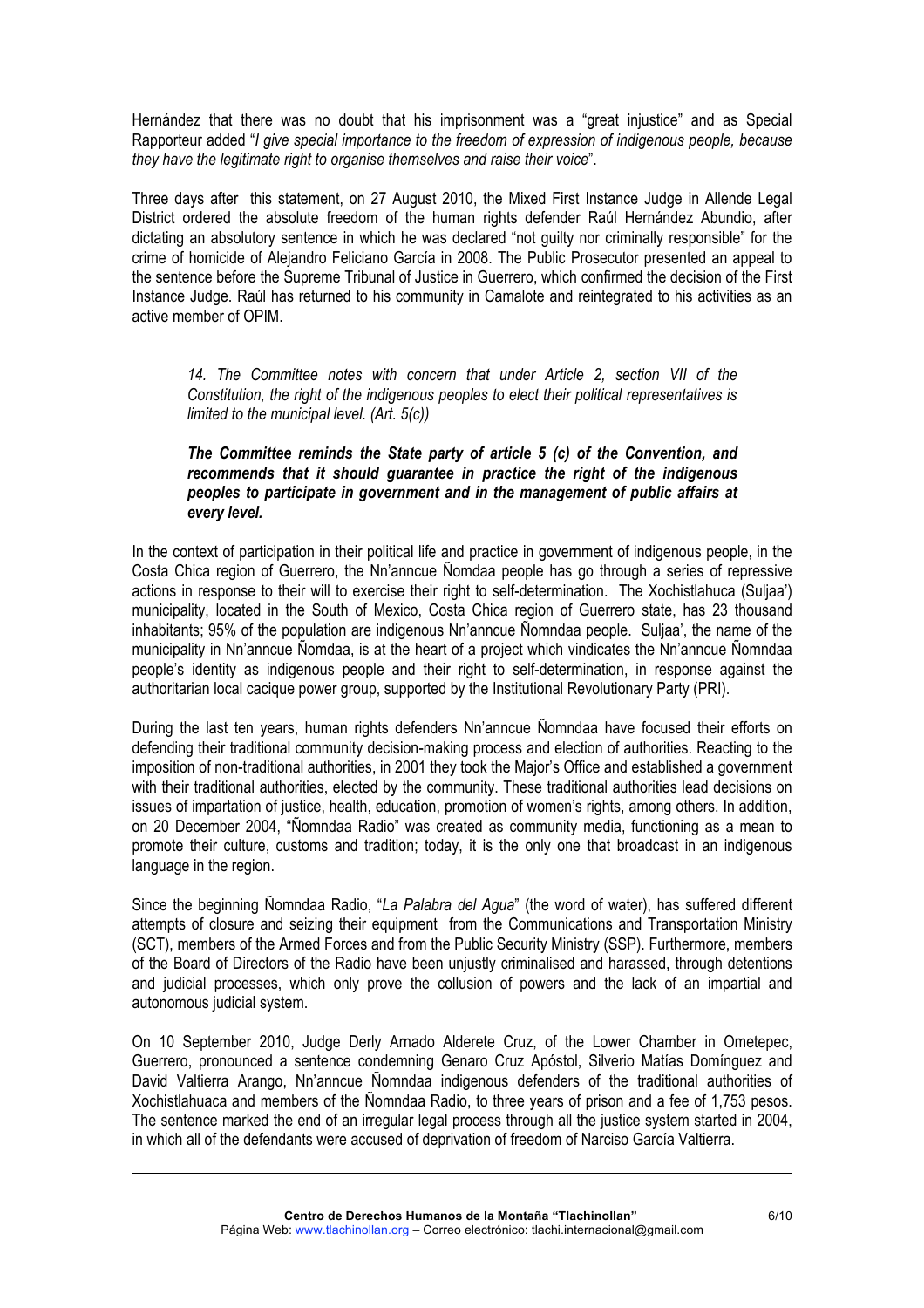Hernández that there was no doubt that his imprisonment was a "great injustice" and as Special Rapporteur added "*I give special importance to the freedom of expression of indigenous people, because they have the legitimate right to organise themselves and raise their voice*".

Three days after this statement, on 27 August 2010, the Mixed First Instance Judge in Allende Legal District ordered the absolute freedom of the human rights defender Raúl Hernández Abundio, after dictating an absolutory sentence in which he was declared "not guilty nor criminally responsible" for the crime of homicide of Alejandro Feliciano García in 2008. The Public Prosecutor presented an appeal to the sentence before the Supreme Tribunal of Justice in Guerrero, which confirmed the decision of the First Instance Judge. Raúl has returned to his community in Camalote and reintegrated to his activities as an active member of OPIM.

*14. The Committee notes with concern that under Article 2, section VII of the Constitution, the right of the indigenous peoples to elect their political representatives is limited to the municipal level. (Art. 5(c))*

# *The Committee reminds the State party of article 5 (c) of the Convention, and recommends that it should guarantee in practice the right of the indigenous peoples to participate in government and in the management of public affairs at every level.*

In the context of participation in their political life and practice in government of indigenous people, in the Costa Chica region of Guerrero, the Nn'anncue Ñomdaa people has go through a series of repressive actions in response to their will to exercise their right to self-determination. The Xochistlahuca (Suljaa') municipality, located in the South of Mexico, Costa Chica region of Guerrero state, has 23 thousand inhabitants; 95% of the population are indigenous Nn'anncue Ñomndaa people. Suljaa', the name of the municipality in Nn'anncue Ñomdaa, is at the heart of a project which vindicates the Nn'anncue Ñomndaa people's identity as indigenous people and their right to self-determination, in response against the authoritarian local cacique power group, supported by the Institutional Revolutionary Party (PRI).

During the last ten years, human rights defenders Nn'anncue Ñomndaa have focused their efforts on defending their traditional community decision-making process and election of authorities. Reacting to the imposition of non-traditional authorities, in 2001 they took the Major's Office and established a government with their traditional authorities, elected by the community. These traditional authorities lead decisions on issues of impartation of justice, health, education, promotion of women's rights, among others. In addition, on 20 December 2004, "Ñomndaa Radio" was created as community media, functioning as a mean to promote their culture, customs and tradition; today, it is the only one that broadcast in an indigenous language in the region.

Since the beginning Ñomndaa Radio, "*La Palabra del Agua*" (the word of water), has suffered different attempts of closure and seizing their equipment from the Communications and Transportation Ministry (SCT), members of the Armed Forces and from the Public Security Ministry (SSP). Furthermore, members of the Board of Directors of the Radio have been unjustly criminalised and harassed, through detentions and judicial processes, which only prove the collusion of powers and the lack of an impartial and autonomous judicial system.

On 10 September 2010, Judge Derly Arnado Alderete Cruz, of the Lower Chamber in Ometepec, Guerrero, pronounced a sentence condemning Genaro Cruz Apóstol, Silverio Matías Domínguez and David Valtierra Arango, Nn'anncue Ñomndaa indigenous defenders of the traditional authorities of Xochistlahuaca and members of the Ñomndaa Radio, to three years of prison and a fee of 1,753 pesos. The sentence marked the end of an irregular legal process through all the justice system started in 2004, in which all of the defendants were accused of deprivation of freedom of Narciso García Valtierra.

<u> 1989 - Johann Barn, amerikansk politiker (d. 1989)</u>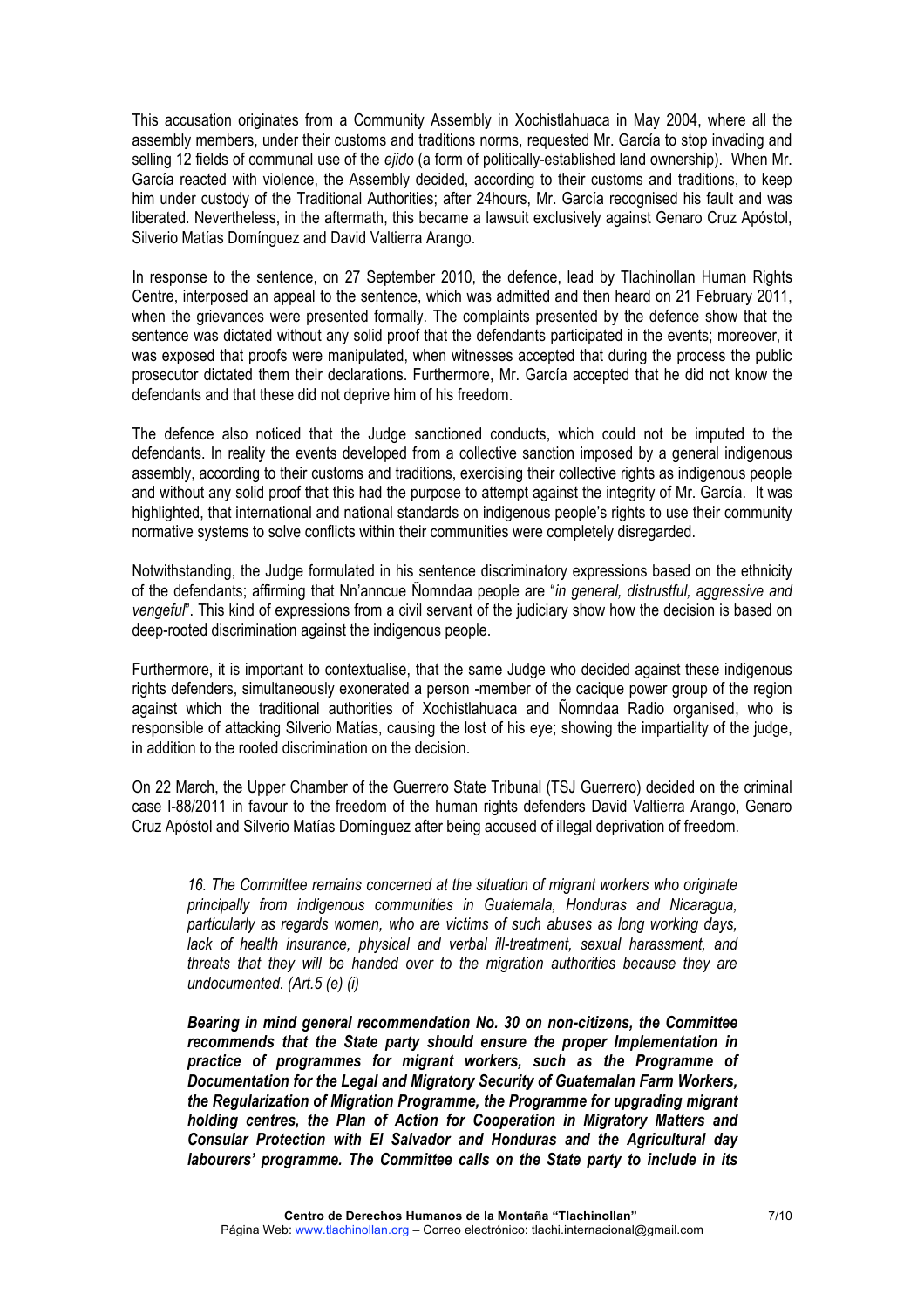This accusation originates from a Community Assembly in Xochistlahuaca in May 2004, where all the assembly members, under their customs and traditions norms, requested Mr. García to stop invading and selling 12 fields of communal use of the *ejido* (a form of politically-established land ownership). When Mr. García reacted with violence, the Assembly decided, according to their customs and traditions, to keep him under custody of the Traditional Authorities; after 24hours, Mr. García recognised his fault and was liberated. Nevertheless, in the aftermath, this became a lawsuit exclusively against Genaro Cruz Apóstol, Silverio Matías Domínguez and David Valtierra Arango.

In response to the sentence, on 27 September 2010, the defence, lead by Tlachinollan Human Rights Centre, interposed an appeal to the sentence, which was admitted and then heard on 21 February 2011, when the grievances were presented formally. The complaints presented by the defence show that the sentence was dictated without any solid proof that the defendants participated in the events; moreover, it was exposed that proofs were manipulated, when witnesses accepted that during the process the public prosecutor dictated them their declarations. Furthermore, Mr. García accepted that he did not know the defendants and that these did not deprive him of his freedom.

The defence also noticed that the Judge sanctioned conducts, which could not be imputed to the defendants. In reality the events developed from a collective sanction imposed by a general indigenous assembly, according to their customs and traditions, exercising their collective rights as indigenous people and without any solid proof that this had the purpose to attempt against the integrity of Mr. García. It was highlighted, that international and national standards on indigenous people's rights to use their community normative systems to solve conflicts within their communities were completely disregarded.

Notwithstanding, the Judge formulated in his sentence discriminatory expressions based on the ethnicity of the defendants; affirming that Nn'anncue Ñomndaa people are "*in general, distrustful, aggressive and vengeful*". This kind of expressions from a civil servant of the judiciary show how the decision is based on deep-rooted discrimination against the indigenous people.

Furthermore, it is important to contextualise, that the same Judge who decided against these indigenous rights defenders, simultaneously exonerated a person -member of the cacique power group of the region against which the traditional authorities of Xochistlahuaca and Ñomndaa Radio organised, who is responsible of attacking Silverio Matías, causing the lost of his eye; showing the impartiality of the judge, in addition to the rooted discrimination on the decision.

On 22 March, the Upper Chamber of the Guerrero State Tribunal (TSJ Guerrero) decided on the criminal case I-88/2011 in favour to the freedom of the human rights defenders David Valtierra Arango, Genaro Cruz Apóstol and Silverio Matías Domínguez after being accused of illegal deprivation of freedom.

*16. The Committee remains concerned at the situation of migrant workers who originate principally from indigenous communities in Guatemala, Honduras and Nicaragua, particularly as regards women, who are victims of such abuses as long working days, lack of health insurance, physical and verbal ill-treatment, sexual harassment, and threats that they will be handed over to the migration authorities because they are undocumented. (Art.5 (e) (i)*

*Bearing in mind general recommendation No. 30 on non-citizens, the Committee recommends that the State party should ensure the proper Implementation in practice of programmes for migrant workers, such as the Programme of Documentation for the Legal and Migratory Security of Guatemalan Farm Workers, the Regularization of Migration Programme, the Programme for upgrading migrant holding centres, the Plan of Action for Cooperation in Migratory Matters and Consular Protection with El Salvador and Honduras and the Agricultural day labourers' programme. The Committee calls on the State party to include in its*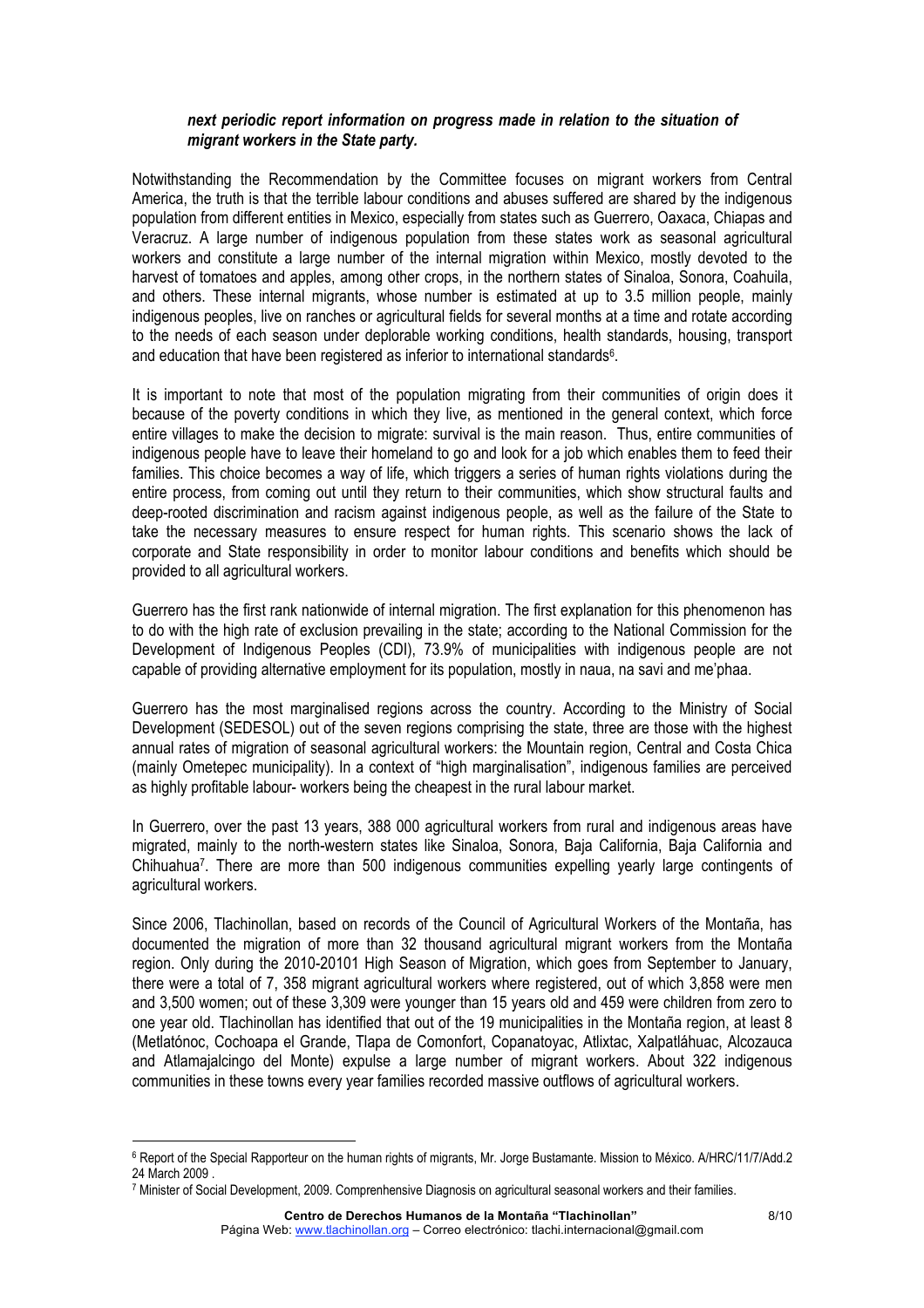## *next periodic report information on progress made in relation to the situation of migrant workers in the State party.*

Notwithstanding the Recommendation by the Committee focuses on migrant workers from Central America, the truth is that the terrible labour conditions and abuses suffered are shared by the indigenous population from different entities in Mexico, especially from states such as Guerrero, Oaxaca, Chiapas and Veracruz. A large number of indigenous population from these states work as seasonal agricultural workers and constitute a large number of the internal migration within Mexico, mostly devoted to the harvest of tomatoes and apples, among other crops, in the northern states of Sinaloa, Sonora, Coahuila, and others. These internal migrants, whose number is estimated at up to 3.5 million people, mainly indigenous peoples, live on ranches or agricultural fields for several months at a time and rotate according to the needs of each season under deplorable working conditions, health standards, housing, transport and education that have been registered as inferior to international standards<sup>6</sup>.

It is important to note that most of the population migrating from their communities of origin does it because of the poverty conditions in which they live, as mentioned in the general context, which force entire villages to make the decision to migrate: survival is the main reason. Thus, entire communities of indigenous people have to leave their homeland to go and look for a job which enables them to feed their families. This choice becomes a way of life, which triggers a series of human rights violations during the entire process, from coming out until they return to their communities, which show structural faults and deep-rooted discrimination and racism against indigenous people, as well as the failure of the State to take the necessary measures to ensure respect for human rights. This scenario shows the lack of corporate and State responsibility in order to monitor labour conditions and benefits which should be provided to all agricultural workers.

Guerrero has the first rank nationwide of internal migration. The first explanation for this phenomenon has to do with the high rate of exclusion prevailing in the state; according to the National Commission for the Development of Indigenous Peoples (CDI), 73.9% of municipalities with indigenous people are not capable of providing alternative employment for its population, mostly in naua, na savi and me'phaa.

Guerrero has the most marginalised regions across the country. According to the Ministry of Social Development (SEDESOL) out of the seven regions comprising the state, three are those with the highest annual rates of migration of seasonal agricultural workers: the Mountain region, Central and Costa Chica (mainly Ometepec municipality). In a context of "high marginalisation", indigenous families are perceived as highly profitable labour- workers being the cheapest in the rural labour market.

In Guerrero, over the past 13 years, 388 000 agricultural workers from rural and indigenous areas have migrated, mainly to the north-western states like Sinaloa, Sonora, Baja California, Baja California and Chihuahua7. There are more than 500 indigenous communities expelling yearly large contingents of agricultural workers.

Since 2006, Tlachinollan, based on records of the Council of Agricultural Workers of the Montaña, has documented the migration of more than 32 thousand agricultural migrant workers from the Montaña region. Only during the 2010-20101 High Season of Migration, which goes from September to January, there were a total of 7, 358 migrant agricultural workers where registered, out of which 3,858 were men and 3,500 women; out of these 3,309 were younger than 15 years old and 459 were children from zero to one year old. Tlachinollan has identified that out of the 19 municipalities in the Montaña region, at least 8 (Metlatónoc, Cochoapa el Grande, Tlapa de Comonfort, Copanatoyac, Atlixtac, Xalpatláhuac, Alcozauca and Atlamajalcingo del Monte) expulse a large number of migrant workers. About 322 indigenous communities in these towns every year families recorded massive outflows of agricultural workers.

<u> Andrew Maria (1989)</u>

<sup>6</sup> Report of the Special Rapporteur on the human rights of migrants, Mr. Jorge Bustamante. Mission to México. A/HRC/11/7/Add.2 24 March 2009 .

<sup>7</sup> Minister of Social Development, 2009. Comprenhensive Diagnosis on agricultural seasonal workers and their families.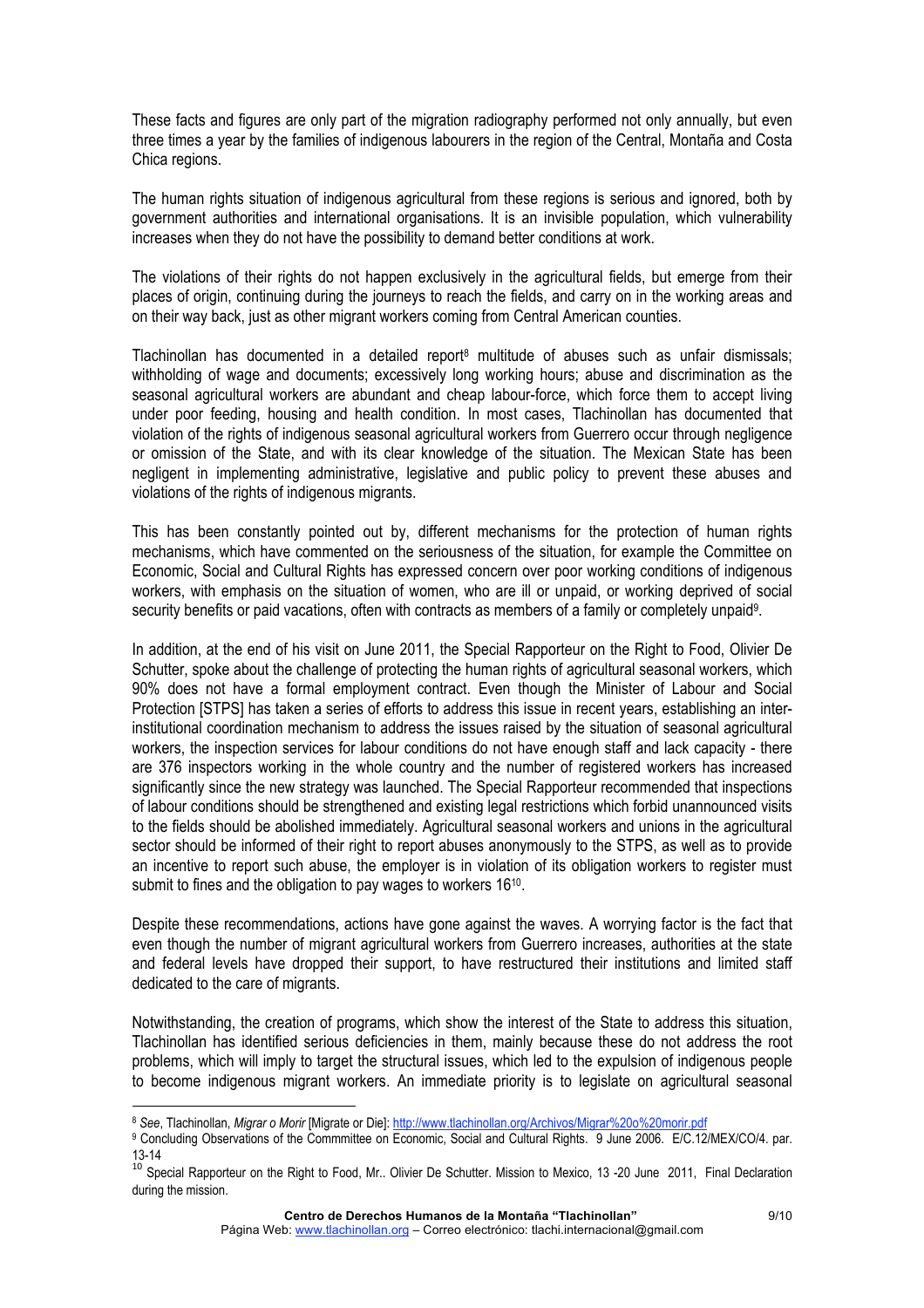These facts and figures are only part of the migration radiography performed not only annually, but even three times a year by the families of indigenous labourers in the region of the Central, Montaña and Costa Chica regions.

The human rights situation of indigenous agricultural from these regions is serious and ignored, both by government authorities and international organisations. It is an invisible population, which vulnerability increases when they do not have the possibility to demand better conditions at work.

The violations of their rights do not happen exclusively in the agricultural fields, but emerge from their places of origin, continuing during the journeys to reach the fields, and carry on in the working areas and on their way back, just as other migrant workers coming from Central American counties.

Tlachinollan has documented in a detailed report<sup>8</sup> multitude of abuses such as unfair dismissals; withholding of wage and documents; excessively long working hours; abuse and discrimination as the seasonal agricultural workers are abundant and cheap labour-force, which force them to accept living under poor feeding, housing and health condition. In most cases, Tlachinollan has documented that violation of the rights of indigenous seasonal agricultural workers from Guerrero occur through negligence or omission of the State, and with its clear knowledge of the situation. The Mexican State has been negligent in implementing administrative, legislative and public policy to prevent these abuses and violations of the rights of indigenous migrants.

This has been constantly pointed out by, different mechanisms for the protection of human rights mechanisms, which have commented on the seriousness of the situation, for example the Committee on Economic, Social and Cultural Rights has expressed concern over poor working conditions of indigenous workers, with emphasis on the situation of women, who are ill or unpaid, or working deprived of social security benefits or paid vacations, often with contracts as members of a family or completely unpaid9.

In addition, at the end of his visit on June 2011, the Special Rapporteur on the Right to Food, Olivier De Schutter, spoke about the challenge of protecting the human rights of agricultural seasonal workers, which 90% does not have a formal employment contract. Even though the Minister of Labour and Social Protection [STPS] has taken a series of efforts to address this issue in recent years, establishing an interinstitutional coordination mechanism to address the issues raised by the situation of seasonal agricultural workers, the inspection services for labour conditions do not have enough staff and lack capacity - there are 376 inspectors working in the whole country and the number of registered workers has increased significantly since the new strategy was launched. The Special Rapporteur recommended that inspections of labour conditions should be strengthened and existing legal restrictions which forbid unannounced visits to the fields should be abolished immediately. Agricultural seasonal workers and unions in the agricultural sector should be informed of their right to report abuses anonymously to the STPS, as well as to provide an incentive to report such abuse, the employer is in violation of its obligation workers to register must submit to fines and the obligation to pay wages to workers 16<sup>10</sup>.

Despite these recommendations, actions have gone against the waves. A worrying factor is the fact that even though the number of migrant agricultural workers from Guerrero increases, authorities at the state and federal levels have dropped their support, to have restructured their institutions and limited staff dedicated to the care of migrants.

Notwithstanding, the creation of programs, which show the interest of the State to address this situation, Tlachinollan has identified serious deficiencies in them, mainly because these do not address the root problems, which will imply to target the structural issues, which led to the expulsion of indigenous people to become indigenous migrant workers. An immediate priority is to legislate on agricultural seasonal

<u> Andrew Maria (1989)</u>

<sup>8</sup> *See*, Tlachinollan, *Migrar o Morir* [Migrate or Die]: http://www.tlachinollan.org/Archivos/Migrar%20o%20morir.pdf

<sup>9</sup> Concluding Observations of the Commmittee on Economic, Social and Cultural Rights. 9 June 2006. E/C.12/MEX/CO/4. par.

<sup>13-14&</sup>lt;br><sup>10</sup> Special Rapporteur on the Right to Food, Mr.. Olivier De Schutter. Mission to Mexico, 13 -20 June 2011, Final Declaration during the mission.